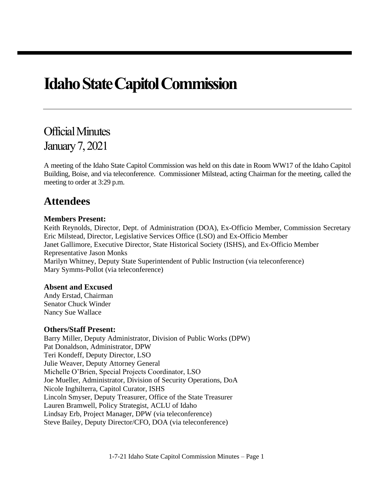# **Idaho State Capitol Commission**

## Official Minutes January7, 2021

A meeting of the Idaho State Capitol Commission was held on this date in Room WW17 of the Idaho Capitol Building, Boise, and via teleconference. Commissioner Milstead, acting Chairman for the meeting, called the meeting to order at 3:29 p.m.

## **Attendees**

#### **Members Present:**

Keith Reynolds, Director, Dept. of Administration (DOA), Ex-Officio Member, Commission Secretary Eric Milstead, Director, Legislative Services Office (LSO) and Ex-Officio Member Janet Gallimore, Executive Director, State Historical Society (ISHS), and Ex-Officio Member Representative Jason Monks Marilyn Whitney, Deputy State Superintendent of Public Instruction (via teleconference) Mary Symms-Pollot (via teleconference)

#### **Absent and Excused**

Andy Erstad, Chairman Senator Chuck Winder Nancy Sue Wallace

#### **Others/Staff Present:**

Barry Miller, Deputy Administrator, Division of Public Works (DPW) Pat Donaldson, Administrator, DPW Teri Kondeff, Deputy Director, LSO Julie Weaver, Deputy Attorney General Michelle O'Brien, Special Projects Coordinator, LSO Joe Mueller, Administrator, Division of Security Operations, DoA Nicole Inghilterra, Capitol Curator, ISHS Lincoln Smyser, Deputy Treasurer, Office of the State Treasurer Lauren Bramwell, Policy Strategist, ACLU of Idaho Lindsay Erb, Project Manager, DPW (via teleconference) Steve Bailey, Deputy Director/CFO, DOA (via teleconference)